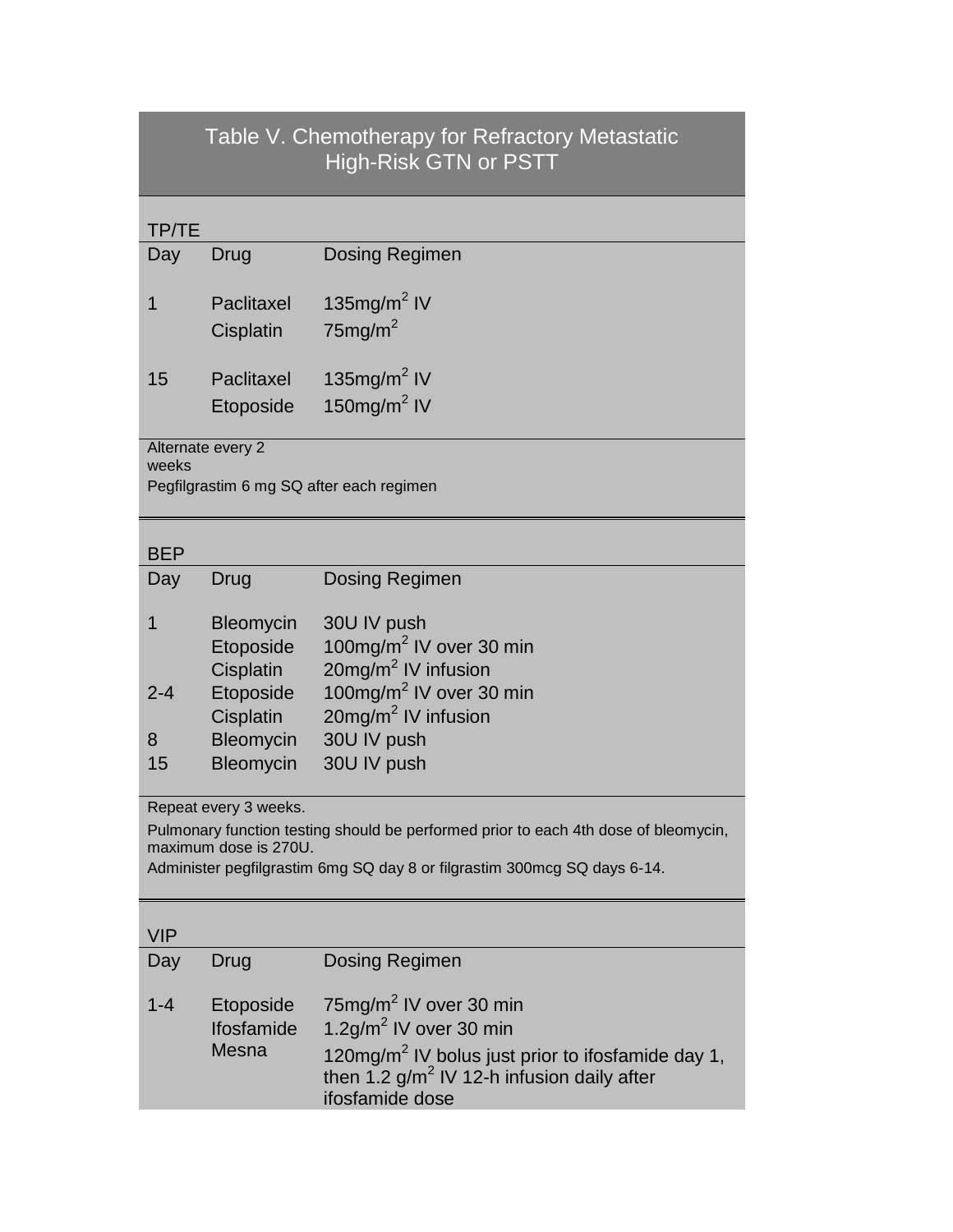## Table V. Chemotherapy for Refractory Metastatic High-Risk GTN or PSTT

| TP/TE                                                                                                                                                                                                             |                                  |                                                                                                                                                                                            |  |  |
|-------------------------------------------------------------------------------------------------------------------------------------------------------------------------------------------------------------------|----------------------------------|--------------------------------------------------------------------------------------------------------------------------------------------------------------------------------------------|--|--|
| Day                                                                                                                                                                                                               | Drug                             | <b>Dosing Regimen</b>                                                                                                                                                                      |  |  |
| 1                                                                                                                                                                                                                 | Paclitaxel                       | 135 $mg/m2$ IV                                                                                                                                                                             |  |  |
|                                                                                                                                                                                                                   | Cisplatin                        | $75$ mg/m <sup>2</sup>                                                                                                                                                                     |  |  |
| 15                                                                                                                                                                                                                | Paclitaxel                       | 135 $mg/m2$ IV                                                                                                                                                                             |  |  |
|                                                                                                                                                                                                                   | Etoposide                        | 150mg/m <sup>2</sup> IV                                                                                                                                                                    |  |  |
| Alternate every 2<br>weeks                                                                                                                                                                                        |                                  |                                                                                                                                                                                            |  |  |
| Pegfilgrastim 6 mg SQ after each regimen                                                                                                                                                                          |                                  |                                                                                                                                                                                            |  |  |
| <b>BEP</b>                                                                                                                                                                                                        |                                  |                                                                                                                                                                                            |  |  |
| Day                                                                                                                                                                                                               | Drug                             | Dosing Regimen                                                                                                                                                                             |  |  |
| 1                                                                                                                                                                                                                 | <b>Bleomycin</b>                 | 30U IV push                                                                                                                                                                                |  |  |
|                                                                                                                                                                                                                   | Etoposide                        | 100mg/m <sup>2</sup> IV over 30 min                                                                                                                                                        |  |  |
|                                                                                                                                                                                                                   | Cisplatin                        | 20mg/m <sup>2</sup> IV infusion                                                                                                                                                            |  |  |
| $2 - 4$                                                                                                                                                                                                           | Etoposide                        | 100mg/m <sup>2</sup> IV over 30 min                                                                                                                                                        |  |  |
| 8                                                                                                                                                                                                                 | Cisplatin<br>Bleomycin           | 20mg/m <sup>2</sup> IV infusion<br>30U IV push                                                                                                                                             |  |  |
| 15                                                                                                                                                                                                                | Bleomycin                        | 30U IV push                                                                                                                                                                                |  |  |
|                                                                                                                                                                                                                   |                                  |                                                                                                                                                                                            |  |  |
| Repeat every 3 weeks.<br>Pulmonary function testing should be performed prior to each 4th dose of bleomycin,<br>maximum dose is 270U.<br>Administer pegfilgrastim 6mg SQ day 8 or filgrastim 300mcg SQ days 6-14. |                                  |                                                                                                                                                                                            |  |  |
| <b>VIP</b>                                                                                                                                                                                                        |                                  |                                                                                                                                                                                            |  |  |
| Day                                                                                                                                                                                                               | Drug                             | <b>Dosing Regimen</b>                                                                                                                                                                      |  |  |
| $1 - 4$                                                                                                                                                                                                           | Etoposide<br>Ifosfamide<br>Mesna | 75mg/m <sup>2</sup> IV over 30 min<br>1.2g/m <sup>2</sup> IV over 30 min<br>120mg/m <sup>2</sup> IV bolus just prior to ifosfamide day 1,<br>then 1.2 $g/m^2$ IV 12-h infusion daily after |  |  |

ifosfamide dose